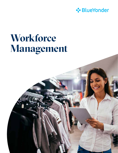

# **Workforce Management**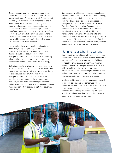Retail shoppers today are much more demanding, savvy and price conscious than ever before. They have a wealth of information at their fingertips and can easily examine your store merchandise and then buy it online, often for less. Converting this empowered consumer to a buyer requires a more skilled, better trained and technology-enabled workforce. Supporting this more talented workforce requires a new breed of workforce management solutions designed specifically for retail that make your workforce more efficient while at the same time making them more effective.

Yet no matter how well you plan and equip your workforce, things happen beyond your control. Disasters strike, pandemics spread, supply and demand disruptions occur. Your workforce management solution must be able to immediately adapt to the changed situation to appropriately forecast and schedule the workforce accordingly.

Shifts in associate availability also occur every day. Associates become ill or don't report for work, they want to swap shifts or pick up extra or fewer hours, or they request time off. Your workforce management solution must provide tools for associates to communicate these changes and requests, as well as to alert managers to these variances as they occur and enable managers to take immediate corrective actions to optimize coverage, service and conversion rates.

Blue Yonder's workforce management capabilities uniquely provide retailers with adaptable planning, budgeting and scheduling capabilities combined with role-based tools to enable associates and managers to quickly react to everyday realities. This dual "plan for the future/manage in the moment" solution is backed by Blue Yonder's decades of experience in retail workforce management and work with leading retailers around the world. Furthermore, this capability is an integral part of Blue Yonder's Luminate™ Retail platform that helps retailers reduce costs, increase revenue and better serve their customers.

#### Planning your labor investment

Store associates have historically been viewed as an expense to be minimized. While it is still important to not over-staff or waste resources, today's highly competitive omni-channel environment requires retailers to invest in the right number of associates with the right skills to execute omni-channel fulfillment tasks while continuing to drive sales and profits. Done correctly, your workforce becomes not an expense, but a competitive differentiator.

Nowhere is this more apparent than during times of crisis, such as disasters and pandemics, when associates become frontline workers in your battle to serve customers as demand changes rapidly and unpredictably. Planning and scheduling the right workforce during these times is crucial to customer loyalty and even business survival.

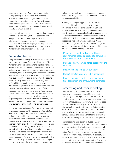Developing this kind of workforce requires longterm planning and budgeting that matches forecasted needs with budget and workforce constraints. It requires accurate forecasting and labor modeling tools to tailor labor plans to local environments, and to rapidly adapt forecasts and schedules when crisis hits.

It requires advanced scheduling engines that conform staffing to traffic flows, national labor laws and budget constraints. And it requires time and attendance systems to ensure the resources scheduled are on the job helping turn shoppers into buyers. These functions are all supported by Blue Yonder's workforce management capability.

#### Corporate planning

Long-term labor planning is as much about corporate strategy as it is about forecasts. That's why Blue Yonder's workforce management capability provides powerful workforce modeling tools that allow you to perform what-if analysis balancing various corporate strategies, budget priorities, crisis scenarios and labor forecasts to arrive at the most optimal labor plan for your business. In addition to new hires, the optimal labor plan may include retraining existing staff to fulfill additional omni-channel roles or other unforeseen requirements. Blue Yonder's solution can identify these retraining needs as part of the strategic workforce plan. And its workload planner capability enables you to take these strategies down to the individual retail outlet level to balance corporate plans with actual workforce capacity. This ensures that each site reaches its potential without over-burdening or underutilizing its workforce.

Budgeting likewise is done from both the store and corporate perspective. The system creates a bottomup forecast using store metrics and demand drivers. It then allows editing from the top down at any organizational level to conform the budget to corporate strategies. The final budget is then used as a constraint by the scheduling engine so labor is not scheduled beyond budget limits without special authorization. The schedule constraint process uses artificial intelligence-based algorithms to evaluate customer priorities for which hours, days or roles to cut, if necessary. For example, rather than cut cashier hours on Saturday to adhere to the weekly budget, the system would trim lower priority days and roles.

It also ensures staffing minimums are maintained without inflating labor demand so essential services are always available.

Planning and budgeting processes are further complicated for global retailers by the vast differences in working time rules by region and country. Therefore, the planning and budgeting algorithms take into consideration the legislative and contract compliance requirements for each country and location. This ensures that annual compliance targets are met with weekly balancing. When completed, long-term labor planning and budgeting form the strategic foundation on which tactical labor forecasting and scheduling are based.

- Model short- and long-term workforce requirements based on corporate strategies, forecasted labor and budget constraints
- Balance plans with workforce capacity at the site level
- Bottom-up and top-down budgeting
- Budget constraints enforced in scheduling
- Ensure compliance with country workingtime legislation and employment contracts

#### Forecasting and labor modeling

The forecasting engine within Blue Yonder's workforce management capability was built specifically for the asymmetrical patterns of retail, including seasonality, promotions, events and new product introductions. That's why it produces bestin-class forecast accuracy, a critical factor in minimizing labor costs without sacrificing service. But forecast optimization can go deeper to also consider the impact of external events, economic trends, weather and other variables to arrive at a labor forecast designed to maximize profit potential.

The forecasting application includes a labor modeling tool allowing you to run what-if scenarios to gauge the impact of unforeseen events as well as traffic and task-based labor plans on utilization and profitability. Plan rollout can be phased to balance workforce requirements with capacity at each site. For example, if your initial plan calls for all stores to run a promotion during the first week of October, but the model shows some smaller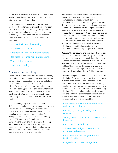stores would not have sufficient manpower to set up the promotion at that time, you may decide to allow them to set it up earlier.

Once modeling is complete and forecasts are established, the forecasts are configured for each store as the basis for scheduling. This granular forecasting method ensures that each store can effectively schedule their workforces to meet corporate objectives without over-taxing their resources.

- Purpose-built retail forecasting
- Best-in-class accuracy
- Considers all traffic and related factors
- Optimization to maximize profit potential
- What-if labor modeling
- Production phasing

#### Advanced scheduling

Scheduling is at the heart of workforce utilization, cost reduction and shopper conversion. Having the right number of associates with the right skills and tools scheduled to match traffic patterns is a critical factor in retail success, especially during times of disaster, pandemics and other unforeseen events. Blue Yonder's solution has the industry's most sophisticated scheduling optimization engine, continually enhanced to meet current and future challenges.

The scheduling engine is rules-based. The userdefined rules can be based on standard timeframes such as day, week, month, or even intra-day. However, rules to meet legislative and contract compliance can be much more complex. For example, in Denmark a contract period typically covers 592 hours over 16 weeks. Other countries have different hours and multi-week scheduling requirements. In addition, many countries have special regulations for scheduling and/or paying holiday and sickness hours. Contract requirements may also vary from retailer to retailer.

Blue Yonder's advanced scheduling optimization engine handles these unique work rule permutations to create optimal, compliant schedules for each location in a single instance of the system. It ensures that schedules are as close as possible to contract hours and provides variance reports to help managers minimize payments and accruals for overages, as well as to avoid paying for contract hours not used due to under-scheduling. It also accurately accrues compensatory allowances such as "time for time" required in some countries. And, as described above, the engine prevents scheduling beyond budget limits without authorization and self-adjusts per user priorities.

Because the scheduling engine is rules-based, it is easy to set up and change rules by country and location to keep up with dynamic labor laws as well as other contract requirements. It contains a rule testing function that allows you to build new rules and test them against the actual environment before moving them to production, thus ensuring accuracy without disruption to field operations.

The scheduling engine also supports cross-location scheduling. For example, one drugstore chain uses this feature to schedule their pharmacists across multiple stores to ensure superior service during peak hours. It also takes associate preferences and planned absences into consideration when creating schedules. The scheduling engine is fully integrated with the platform's task management solution to coordinate scheduling and budget constraints between traffic- and task-based labor.

- Rules-based across standard timeframes and contractual hours
- Country by country working time compliance
- Weekly, monthly and annual contract hours balancing
- Cross-location scheduling
- Adherence to budget constraints and associate preferences
- Easy to set up and change rules with testing function
- Integration with task management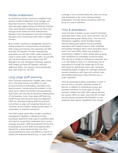#### Mobile enablement

No scheduling solution would be complete today without mobile enablement of all manager and associate functions. Today's retail workforce is well-educated, digital-native and lifestyle oriented. They want flexible scheduling and run their lives through social media and their smartphones. Retailers must be prepared to provide scheduling flexibility and communicate with them in digital formats.

Blue Yonder's workforce management solution is mobile enabled for communication of schedules, shift swaps and sharing, time reporting, call-offs and time off requests. On their smartphones, associates can see their shifts, make requests to swap or share shifts, claim open shifts, do call-offs, see vacation balances and request time off. Managers can see and adjust schedules, approve shift swaps and time-off requests and post additional shifts. The solution will automatically post open shifts for call-offs.

### Long range staff planning

Every business experiences variable sales cycles, but in the retail industry the effect is more pronounced due to seasonality, promotions and special events. Compounding the problem, in the retail sector talent recruitment and development have fallen into the trap of operating independently of the business cycle. Long range staff planning (LRSP) brings the two parts back into alignment. LRSP can maximize existing staff and promote recruitment to align with projected demand and customer service targets, lessening the impact of seasonality on business operations.

The LRSP engine within Blue Yonder's workforce management capability is designed to help businesses determine what type of workforce they will need to successfully implement their current strategy and goals. LRSP accomplishes this by first evaluating the current staff and projected labor demand for a given period at each site, then recommending the most cost-effective manner to satisfy the projected demand (e.g., in cases where

coverage is not currently being met, either by hiring new employees or by cross-training existing employees). The time period covered by LRSP can be up to a year in advance.

#### Time & attendance

 Even the best schedule can be ruined if scheduled associates don't show up for work and don't call off, especially during peak selling hours. The time and attendance capability within the Blue Yonder solution helps guard against this by providing associates with mobile access to their schedules and sending managers alerts when associates fail to clock in for their shifts. Alerts are available on smartphones, tablets or other mobile devices along with workflows for immediate corrective action. This may be as simple as verifying an associate who is on-site failed to clock in or contacting a list of associates by through the mobile app to fill the shift based on appropriate work rules. Using the scheduling engine to adjust for coverage variances ensures compliance with laws and contract rules and enables balancing to help minimize over or under utilization.

Time and attendance allows associates to clock in and out from a virtually unlimited number of devices. In addition to smartphone access and standard interfaces to many types of clocks, biometric readers and other data capture devices, the system offers an open, real-time API via Web services giving companies the flexibility to use whatever data capture capabilities they choose.